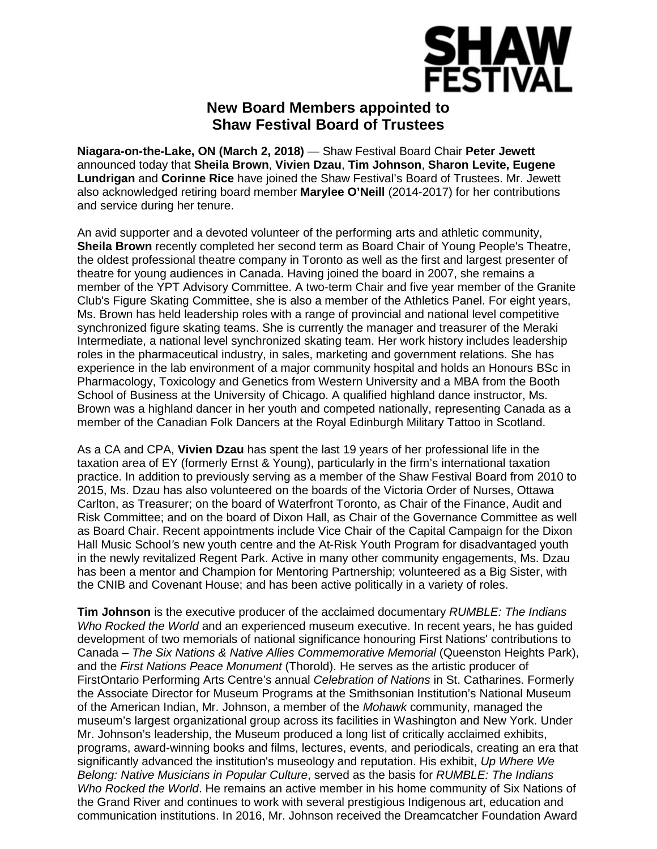

## **New Board Members appointed to Shaw Festival Board of Trustees**

**Niagara-on-the-Lake, ON (March 2, 2018)** — Shaw Festival Board Chair **Peter Jewett**  announced today that **Sheila Brown**, **Vivien Dzau**, **Tim Johnson**, **Sharon Levite, Eugene Lundrigan** and **Corinne Rice** have joined the Shaw Festival's Board of Trustees. Mr. Jewett also acknowledged retiring board member **Marylee O'Neill** (2014-2017) for her contributions and service during her tenure.

An avid supporter and a devoted volunteer of the performing arts and athletic community, **Sheila Brown** recently completed her second term as Board Chair of Young People's Theatre, the oldest professional theatre company in Toronto as well as the first and largest presenter of theatre for young audiences in Canada. Having joined the board in 2007, she remains a member of the YPT Advisory Committee. A two-term Chair and five year member of the Granite Club's Figure Skating Committee, she is also a member of the Athletics Panel. For eight years, Ms. Brown has held leadership roles with a range of provincial and national level competitive synchronized figure skating teams. She is currently the manager and treasurer of the Meraki Intermediate, a national level synchronized skating team. Her work history includes leadership roles in the pharmaceutical industry, in sales, marketing and government relations. She has experience in the lab environment of a major community hospital and holds an Honours BSc in Pharmacology, Toxicology and Genetics from Western University and a MBA from the Booth School of Business at the University of Chicago. A qualified highland dance instructor, Ms. Brown was a highland dancer in her youth and competed nationally, representing Canada as a member of the Canadian Folk Dancers at the Royal Edinburgh Military Tattoo in Scotland.

As a CA and CPA, **Vivien Dzau** has spent the last 19 years of her professional life in the taxation area of EY (formerly Ernst & Young), particularly in the firm's international taxation practice. In addition to previously serving as a member of the Shaw Festival Board from 2010 to 2015, Ms. Dzau has also volunteered on the boards of the Victoria Order of Nurses, Ottawa Carlton, as Treasurer; on the board of Waterfront Toronto, as Chair of the Finance, Audit and Risk Committee; and on the board of Dixon Hall, as Chair of the Governance Committee as well as Board Chair. Recent appointments include Vice Chair of the Capital Campaign for the Dixon Hall Music School*'*s new youth centre and the At-Risk Youth Program for disadvantaged youth in the newly revitalized Regent Park. Active in many other community engagements, Ms. Dzau has been a mentor and Champion for Mentoring Partnership; volunteered as a Big Sister, with the CNIB and Covenant House; and has been active politically in a variety of roles.

**Tim Johnson** is the executive producer of the acclaimed documentary *RUMBLE: The Indians Who Rocked the World* and an experienced museum executive. In recent years, he has guided development of two memorials of national significance honouring First Nations' contributions to Canada – *The Six Nations & Native Allies Commemorative Memorial* (Queenston Heights Park), and the *First Nations Peace Monument* (Thorold). He serves as the artistic producer of FirstOntario Performing Arts Centre's annual *Celebration of Nations* in St. Catharines. Formerly the Associate Director for Museum Programs at the Smithsonian Institution's National Museum of the American Indian, Mr. Johnson, a member of the *Mohawk* community, managed the museum's largest organizational group across its facilities in Washington and New York. Under Mr. Johnson's leadership, the Museum produced a long list of critically acclaimed exhibits, programs, award-winning books and films, lectures, events, and periodicals, creating an era that significantly advanced the institution's museology and reputation. His exhibit, *Up Where We Belong: Native Musicians in Popular Culture*, served as the basis for *RUMBLE: The Indians Who Rocked the World*. He remains an active member in his home community of Six Nations of the Grand River and continues to work with several prestigious Indigenous art, education and communication institutions. In 2016, Mr. Johnson received the Dreamcatcher Foundation Award